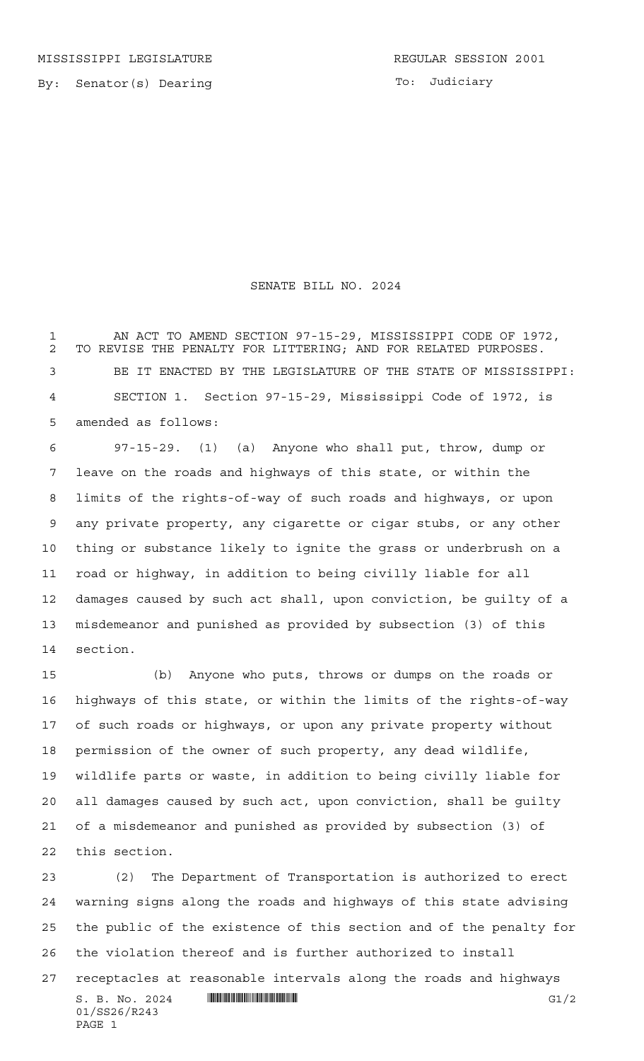By: Senator(s) Dearing

PAGE 1

## SENATE BILL NO. 2024

 AN ACT TO AMEND SECTION 97-15-29, MISSISSIPPI CODE OF 1972, TO REVISE THE PENALTY FOR LITTERING; AND FOR RELATED PURPOSES. BE IT ENACTED BY THE LEGISLATURE OF THE STATE OF MISSISSIPPI: SECTION 1. Section 97-15-29, Mississippi Code of 1972, is amended as follows:

 97-15-29. (1) (a) Anyone who shall put, throw, dump or leave on the roads and highways of this state, or within the limits of the rights-of-way of such roads and highways, or upon any private property, any cigarette or cigar stubs, or any other thing or substance likely to ignite the grass or underbrush on a road or highway, in addition to being civilly liable for all damages caused by such act shall, upon conviction, be guilty of a misdemeanor and punished as provided by subsection (3) of this section.

 (b) Anyone who puts, throws or dumps on the roads or highways of this state, or within the limits of the rights-of-way of such roads or highways, or upon any private property without permission of the owner of such property, any dead wildlife, wildlife parts or waste, in addition to being civilly liable for all damages caused by such act, upon conviction, shall be guilty of a misdemeanor and punished as provided by subsection (3) of this section.

 (2) The Department of Transportation is authorized to erect warning signs along the roads and highways of this state advising the public of the existence of this section and of the penalty for the violation thereof and is further authorized to install

 $S. B. No. 2024$   $\blacksquare$   $\blacksquare$   $\blacksquare$   $\blacksquare$   $\blacksquare$   $\blacksquare$   $\blacksquare$   $\blacksquare$   $\blacksquare$   $\blacksquare$ 01/SS26/R243 receptacles at reasonable intervals along the roads and highways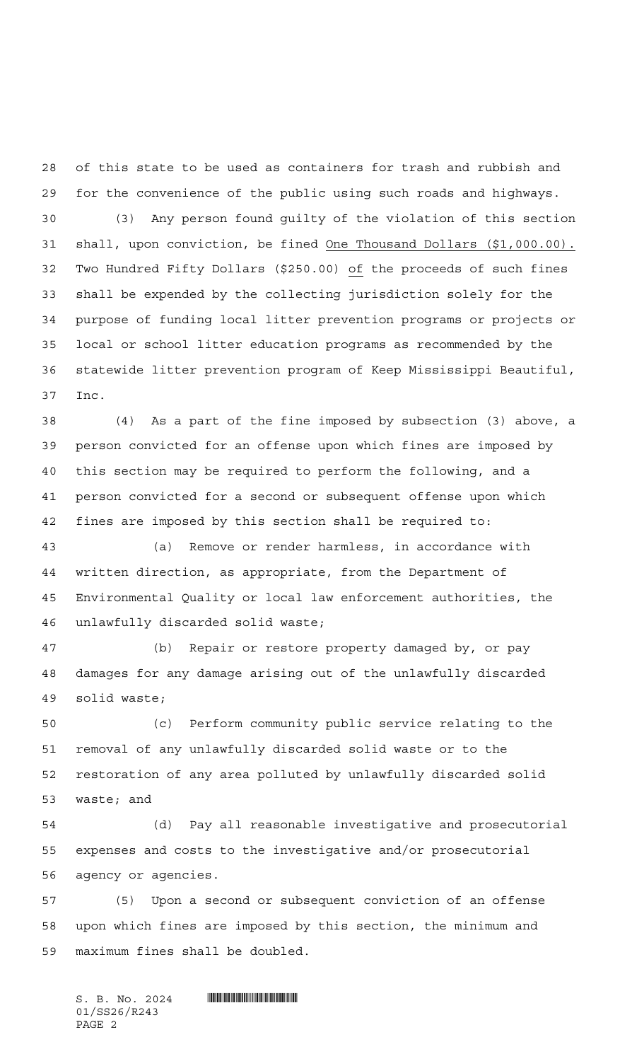of this state to be used as containers for trash and rubbish and for the convenience of the public using such roads and highways.

 (3) Any person found guilty of the violation of this section shall, upon conviction, be fined One Thousand Dollars (\$1,000.00). Two Hundred Fifty Dollars (\$250.00) of the proceeds of such fines shall be expended by the collecting jurisdiction solely for the purpose of funding local litter prevention programs or projects or local or school litter education programs as recommended by the statewide litter prevention program of Keep Mississippi Beautiful, Inc.

 (4) As a part of the fine imposed by subsection (3) above, a person convicted for an offense upon which fines are imposed by this section may be required to perform the following, and a person convicted for a second or subsequent offense upon which fines are imposed by this section shall be required to:

 (a) Remove or render harmless, in accordance with written direction, as appropriate, from the Department of Environmental Quality or local law enforcement authorities, the unlawfully discarded solid waste;

 (b) Repair or restore property damaged by, or pay damages for any damage arising out of the unlawfully discarded solid waste;

 (c) Perform community public service relating to the removal of any unlawfully discarded solid waste or to the restoration of any area polluted by unlawfully discarded solid waste; and

 (d) Pay all reasonable investigative and prosecutorial expenses and costs to the investigative and/or prosecutorial agency or agencies.

 (5) Upon a second or subsequent conviction of an offense upon which fines are imposed by this section, the minimum and maximum fines shall be doubled.

 $S.$  B. No. 2024  $\blacksquare$ 01/SS26/R243 PAGE 2